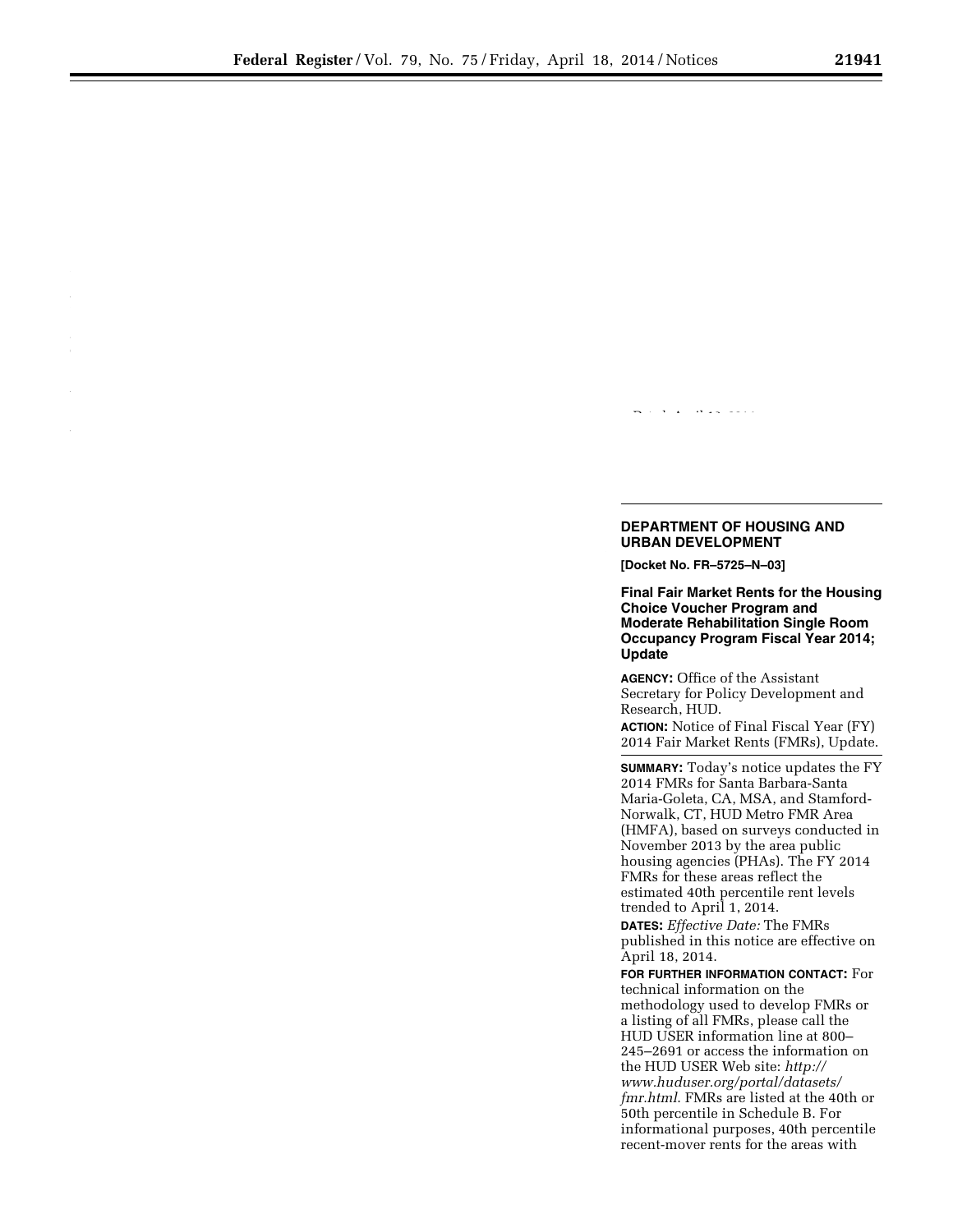can easily access the nearest HUD-

## Dated: April 10, 2014.

## **DEPARTMENT OF HOUSING AND URBAN DEVELOPMENT**

**[Docket No. FR–5725–N–03]** 

**Final Fair Market Rents for the Housing Choice Voucher Program and Moderate Rehabilitation Single Room Occupancy Program Fiscal Year 2014; Update** 

**AGENCY:** Office of the Assistant Secretary for Policy Development and Research, HUD.

**ACTION:** Notice of Final Fiscal Year (FY) 2014 Fair Market Rents (FMRs), Update.

**SUMMARY:** Today's notice updates the FY 2014 FMRs for Santa Barbara-Santa Maria-Goleta, CA, MSA, and Stamford-Norwalk, CT, HUD Metro FMR Area (HMFA), based on surveys conducted in November 2013 by the area public housing agencies (PHAs). The FY 2014 FMRs for these areas reflect the estimated 40th percentile rent levels trended to April 1, 2014. **DATES:** *Effective Date:* The FMRs

published in this notice are effective on April 18, 2014.

**FOR FURTHER INFORMATION CONTACT:** For technical information on the methodology used to develop FMRs or a listing of all FMRs, please call the HUD USER information line at 800– 245–2691 or access the information on the HUD USER Web site: *[http://](http://www.huduser.org/portal/datasets/fmr.html)  [www.huduser.org/portal/datasets/](http://www.huduser.org/portal/datasets/fmr.html)  [fmr.html](http://www.huduser.org/portal/datasets/fmr.html)*. FMRs are listed at the 40th or 50th percentile in Schedule B. For informational purposes, 40th percentile recent-mover rents for the areas with